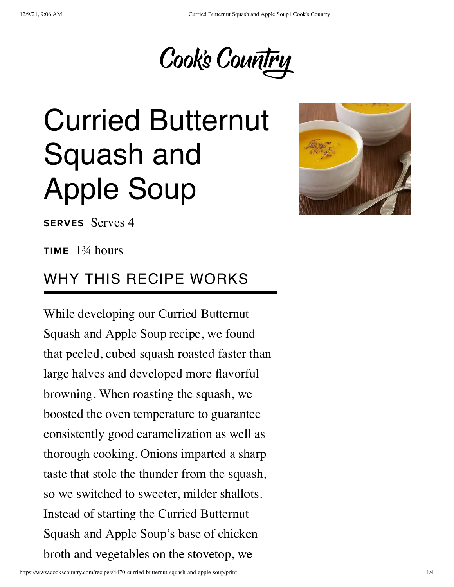

# Curried Butternut Squash and Apple Soup



SERVES Serves 4

**TIME**  $1\frac{3}{4}$  hours

#### WHY THIS RECIPE WORKS

While developing our Curried Butternut Squash and Apple Soup recipe, we found that peeled, cubed squash roasted faster than large halves and developed more flavorful browning. When roasting the squash, we boosted the oven temperature to guarantee consistently good caramelization as well as thorough cooking. Onions imparted a sharp taste that stole the thunder from the squash, so we switched to sweeter, milder shallots. Instead of starting the Curried Butternut Squash and Apple Soup's base of chicken broth and vegetables on the stovetop, we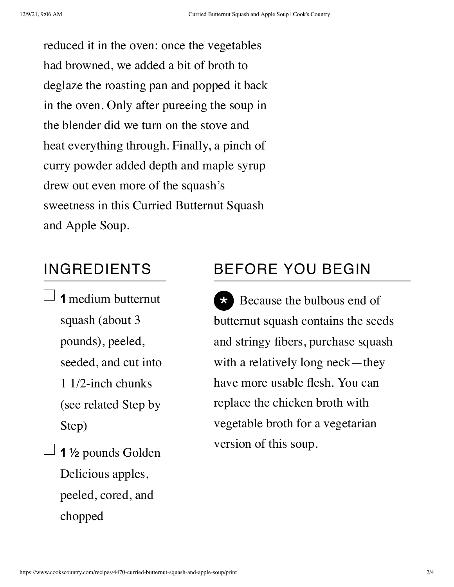reduced it in the oven: once the vegetables had browned, we added a bit of broth to deglaze the roasting pan and popped it back in the oven. Only after pureeing the soup in the blender did we turn on the stove and heat everything through. Finally, a pinch of curry powder added depth and maple syrup drew out even more of the squash's sweetness in this Curried Butternut Squash and Apple Soup.

#### INGREDIENTS

- $\Box$  1 medium butternut squash (about 3 pounds), peeled, seeded, and cut into 1 1/2-inch chunks (see related Step by Step)
- $\Box$  1 ½ pounds Golden Delicious apples, peeled, cored, and chopped

### BEFORE YOU BEGIN

\* Because the bulbous end of butternut squash contains the seeds and stringy fibers, purchase squash with a relatively long neck—they have more usable flesh. You can replace the chicken broth with vegetable broth for a vegetarian version of this soup.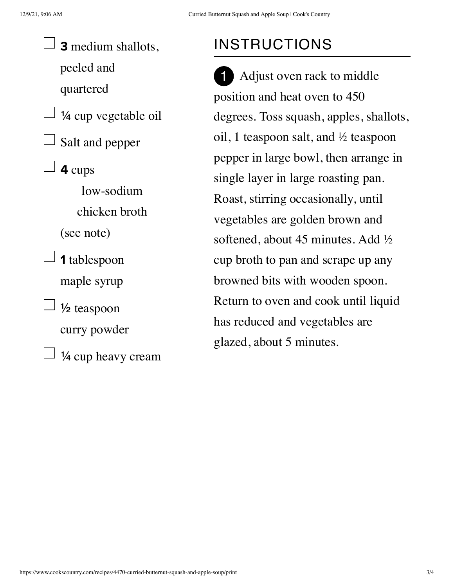3 medium shallots, peeled and quartered  $\perp$  ¼ cup vegetable oil Salt and pepper 4 cups low-sodium chicken broth (see note)  $\Box$  1 tablespoon maple syrup  $\perp$  1/2 teaspoon curry powder ¼ cup heavy cream

## INSTRUCTIONS

Adjust oven rack to middle position and heat oven to 450 degrees. Toss squash, apples, shallots, oil, 1 teaspoon salt, and ½ teaspoon pepper in large bowl, then arrange in single layer in large roasting pan. Roast, stirring occasionally, until vegetables are golden brown and softened, about 45 minutes. Add ½ cup broth to pan and scrape up any browned bits with wooden spoon. Return to oven and cook until liquid has reduced and vegetables are glazed, about 5 minutes. 1